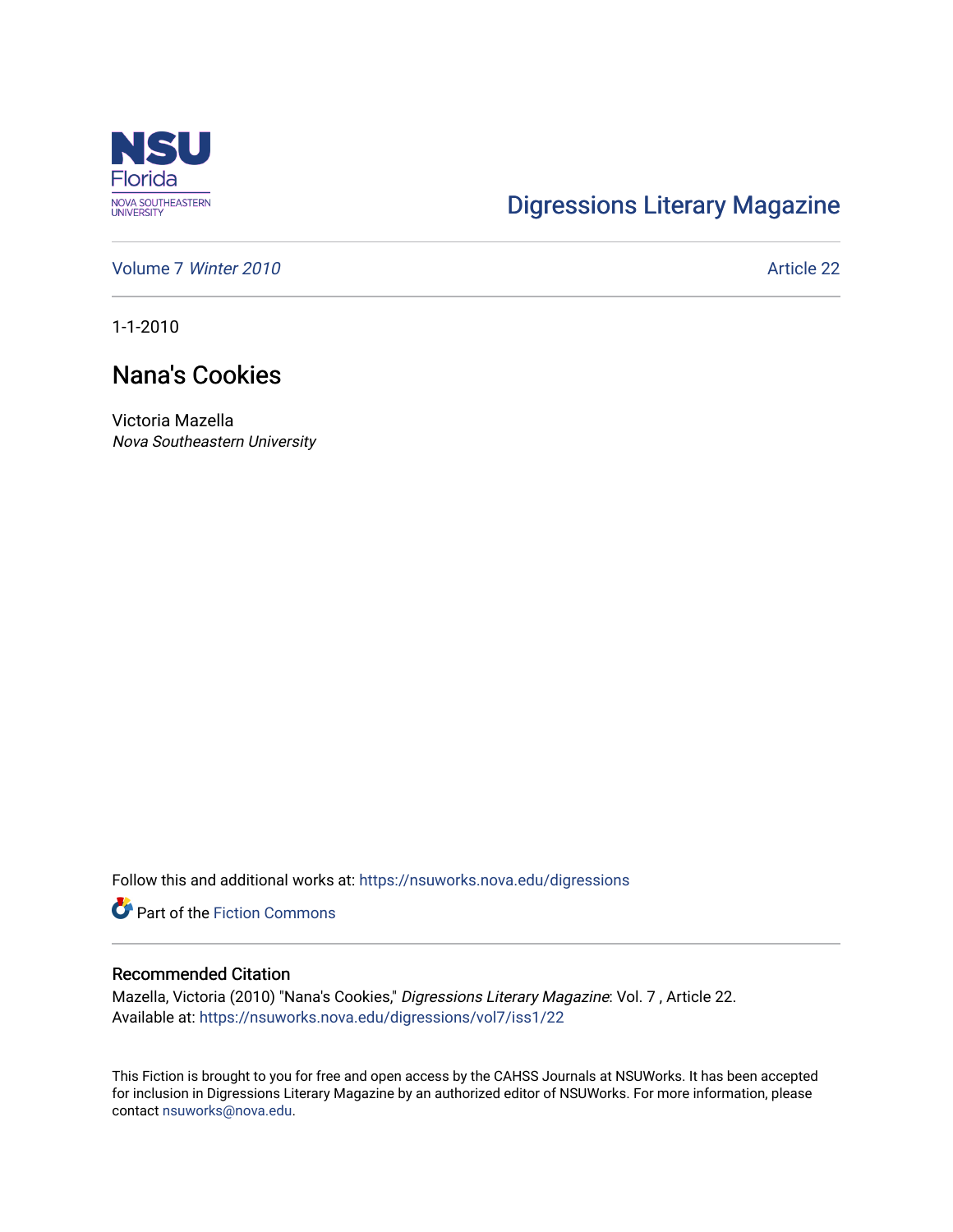

## [Digressions Literary Magazine](https://nsuworks.nova.edu/digressions)

[Volume 7](https://nsuworks.nova.edu/digressions/vol7) Winter 2010 **Article 22** Article 22

1-1-2010

## Nana's Cookies

Victoria Mazella Nova Southeastern University

Follow this and additional works at: [https://nsuworks.nova.edu/digressions](https://nsuworks.nova.edu/digressions?utm_source=nsuworks.nova.edu%2Fdigressions%2Fvol7%2Fiss1%2F22&utm_medium=PDF&utm_campaign=PDFCoverPages) 

**Part of the Fiction Commons** 

## Recommended Citation

Mazella, Victoria (2010) "Nana's Cookies," Digressions Literary Magazine: Vol. 7 , Article 22. Available at: [https://nsuworks.nova.edu/digressions/vol7/iss1/22](https://nsuworks.nova.edu/digressions/vol7/iss1/22?utm_source=nsuworks.nova.edu%2Fdigressions%2Fvol7%2Fiss1%2F22&utm_medium=PDF&utm_campaign=PDFCoverPages) 

This Fiction is brought to you for free and open access by the CAHSS Journals at NSUWorks. It has been accepted for inclusion in Digressions Literary Magazine by an authorized editor of NSUWorks. For more information, please contact [nsuworks@nova.edu.](mailto:nsuworks@nova.edu)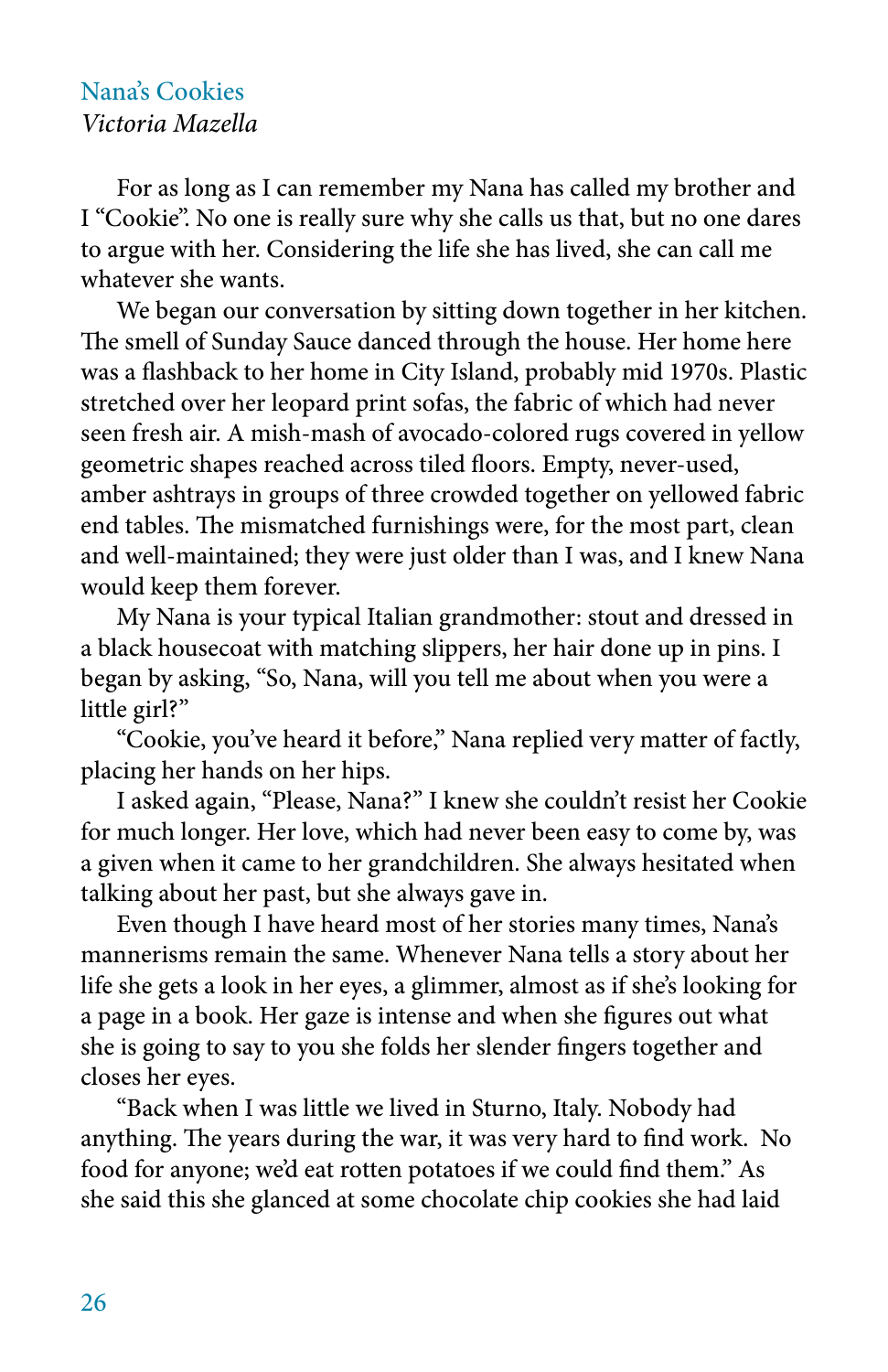## Nana's Cookies *Victoria Mazella*

For as long as I can remember my Nana has called my brother and I "Cookie". No one is really sure why she calls us that, but no one dares to argue with her. Considering the life she has lived, she can call me whatever she wants.

We began our conversation by sitting down together in her kitchen. The smell of Sunday Sauce danced through the house. Her home here was a flashback to her home in City Island, probably mid 1970s. Plastic stretched over her leopard print sofas, the fabric of which had never seen fresh air. A mish-mash of avocado-colored rugs covered in yellow geometric shapes reached across tiled floors. Empty, never-used, amber ashtrays in groups of three crowded together on yellowed fabric end tables. The mismatched furnishings were, for the most part, clean and well-maintained; they were just older than I was, and I knew Nana would keep them forever.

My Nana is your typical Italian grandmother: stout and dressed in a black housecoat with matching slippers, her hair done up in pins. I began by asking, "So, Nana, will you tell me about when you were a little girl?"

"Cookie, you've heard it before," Nana replied very matter of factly, placing her hands on her hips.

I asked again, "Please, Nana?" I knew she couldn't resist her Cookie for much longer. Her love, which had never been easy to come by, was a given when it came to her grandchildren. She always hesitated when talking about her past, but she always gave in.

Even though I have heard most of her stories many times, Nana's mannerisms remain the same. Whenever Nana tells a story about her life she gets a look in her eyes, a glimmer, almost as if she's looking for a page in a book. Her gaze is intense and when she figures out what she is going to say to you she folds her slender fingers together and closes her eyes.

"Back when I was little we lived in Sturno, Italy. Nobody had anything. The years during the war, it was very hard to find work. No food for anyone; we'd eat rotten potatoes if we could find them." As she said this she glanced at some chocolate chip cookies she had laid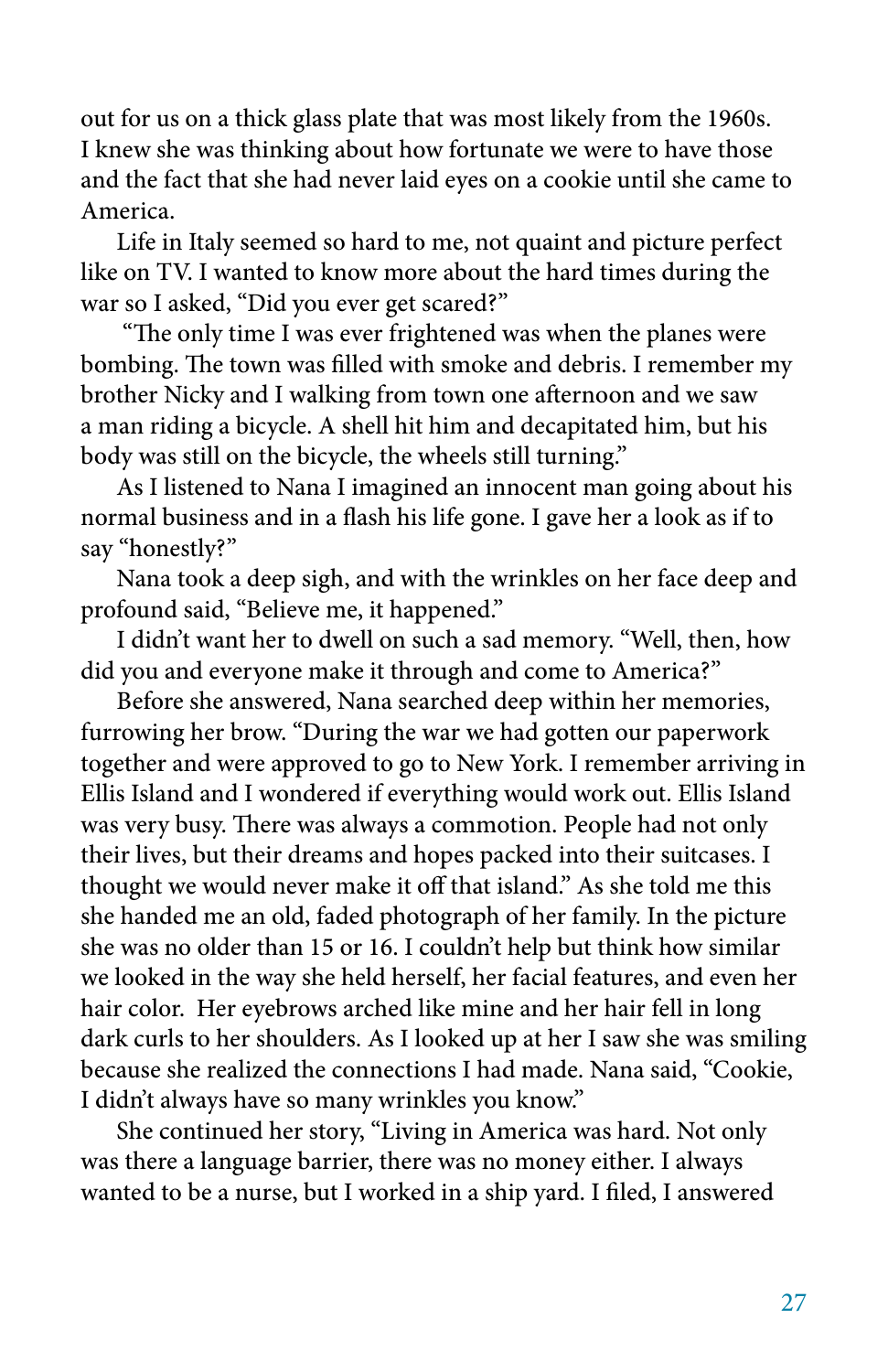out for us on a thick glass plate that was most likely from the 1960s. I knew she was thinking about how fortunate we were to have those and the fact that she had never laid eyes on a cookie until she came to America.

Life in Italy seemed so hard to me, not quaint and picture perfect like on TV. I wanted to know more about the hard times during the war so I asked, "Did you ever get scared?"

 "The only time I was ever frightened was when the planes were bombing. The town was filled with smoke and debris. I remember my brother Nicky and I walking from town one afternoon and we saw a man riding a bicycle. A shell hit him and decapitated him, but his body was still on the bicycle, the wheels still turning."

As I listened to Nana I imagined an innocent man going about his normal business and in a flash his life gone. I gave her a look as if to say "honestly?"

Nana took a deep sigh, and with the wrinkles on her face deep and profound said, "Believe me, it happened."

I didn't want her to dwell on such a sad memory. "Well, then, how did you and everyone make it through and come to America?"

Before she answered, Nana searched deep within her memories, furrowing her brow. "During the war we had gotten our paperwork together and were approved to go to New York. I remember arriving in Ellis Island and I wondered if everything would work out. Ellis Island was very busy. There was always a commotion. People had not only their lives, but their dreams and hopes packed into their suitcases. I thought we would never make it off that island." As she told me this she handed me an old, faded photograph of her family. In the picture she was no older than 15 or 16. I couldn't help but think how similar we looked in the way she held herself, her facial features, and even her hair color. Her eyebrows arched like mine and her hair fell in long dark curls to her shoulders. As I looked up at her I saw she was smiling because she realized the connections I had made. Nana said, "Cookie, I didn't always have so many wrinkles you know."

She continued her story, "Living in America was hard. Not only was there a language barrier, there was no money either. I always wanted to be a nurse, but I worked in a ship yard. I filed, I answered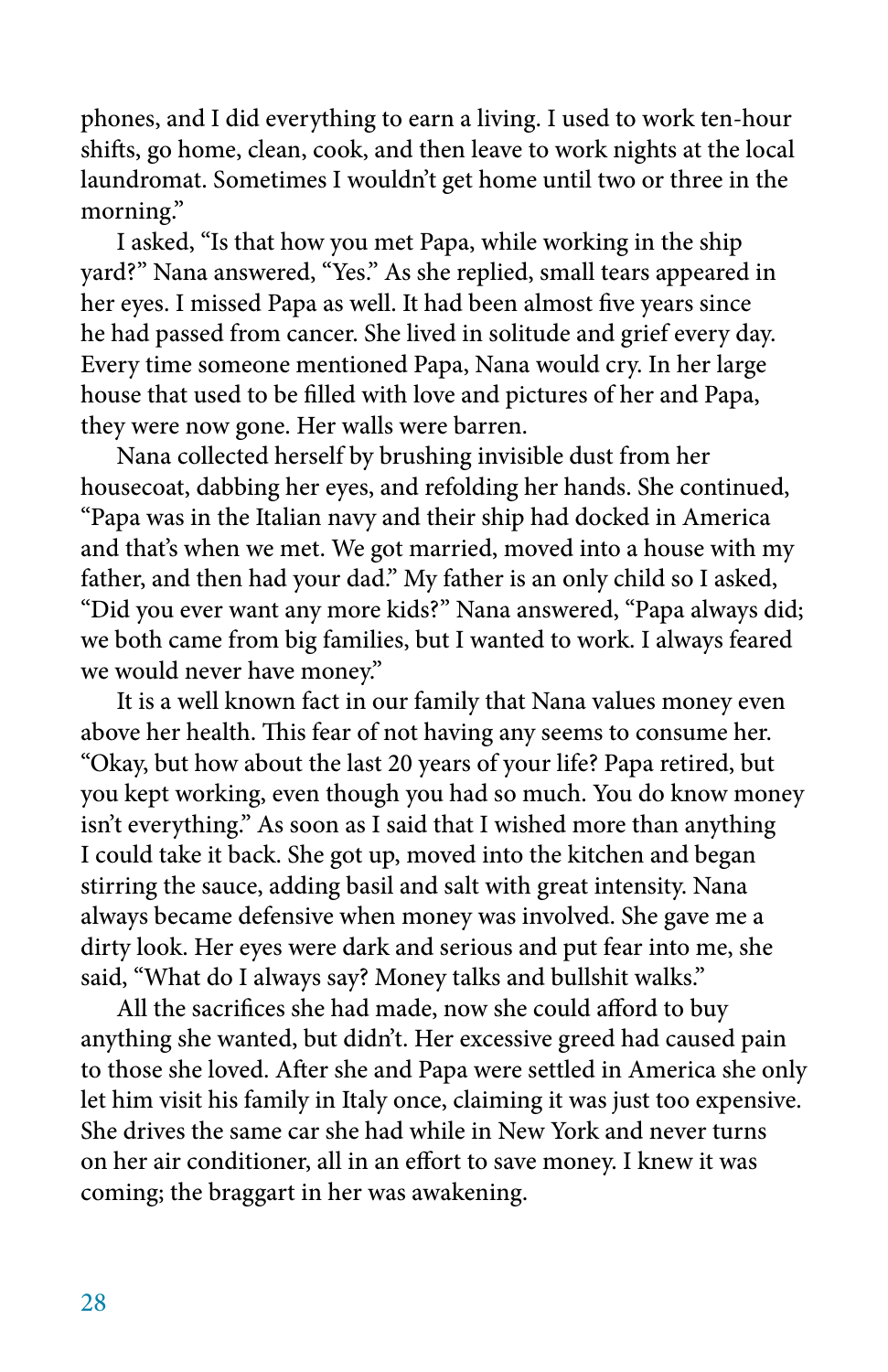phones, and I did everything to earn a living. I used to work ten-hour shifts, go home, clean, cook, and then leave to work nights at the local laundromat. Sometimes I wouldn't get home until two or three in the morning."

I asked, "Is that how you met Papa, while working in the ship yard?" Nana answered, "Yes." As she replied, small tears appeared in her eyes. I missed Papa as well. It had been almost five years since he had passed from cancer. She lived in solitude and grief every day. Every time someone mentioned Papa, Nana would cry. In her large house that used to be filled with love and pictures of her and Papa, they were now gone. Her walls were barren.

Nana collected herself by brushing invisible dust from her housecoat, dabbing her eyes, and refolding her hands. She continued, "Papa was in the Italian navy and their ship had docked in America and that's when we met. We got married, moved into a house with my father, and then had your dad." My father is an only child so I asked, "Did you ever want any more kids?" Nana answered, "Papa always did; we both came from big families, but I wanted to work. I always feared we would never have money."

It is a well known fact in our family that Nana values money even above her health. This fear of not having any seems to consume her. "Okay, but how about the last 20 years of your life? Papa retired, but you kept working, even though you had so much. You do know money isn't everything." As soon as I said that I wished more than anything I could take it back. She got up, moved into the kitchen and began stirring the sauce, adding basil and salt with great intensity. Nana always became defensive when money was involved. She gave me a dirty look. Her eyes were dark and serious and put fear into me, she said, "What do I always say? Money talks and bullshit walks."

All the sacrifices she had made, now she could afford to buy anything she wanted, but didn't. Her excessive greed had caused pain to those she loved. After she and Papa were settled in America she only let him visit his family in Italy once, claiming it was just too expensive. She drives the same car she had while in New York and never turns on her air conditioner, all in an effort to save money. I knew it was coming; the braggart in her was awakening.